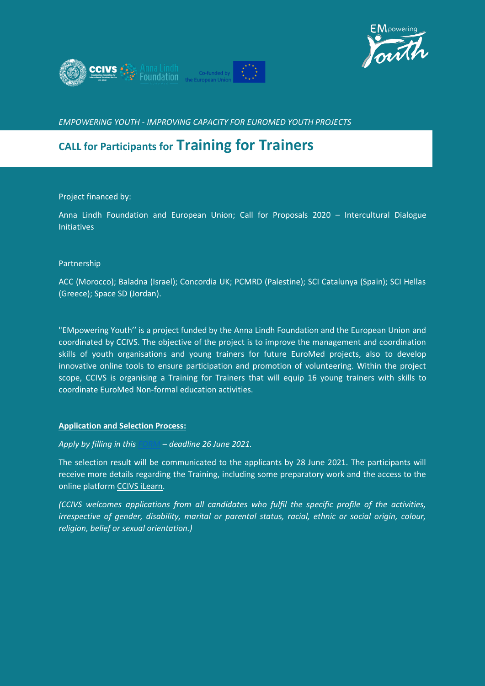



*EMPOWERING YOUTH - IMPROVING CAPACITY FOR EUROMED YOUTH PROJECTS*

# **CALL for Participants for Training for Trainers**

Project financed by:

Anna Lindh Foundation and European Union; Call for Proposals 2020 – Intercultural Dialogue Initiatives

#### Partnership

ACC (Morocco); Baladna (Israel); Concordia UK; PCMRD (Palestine); SCI Catalunya (Spain); SCI Hellas (Greece); Space SD (Jordan).

"EMpowering Youth'' is a project funded by the Anna Lindh Foundation and the European Union and coordinated by CCIVS. The objective of the project is to improve the management and coordination skills of youth organisations and young trainers for future EuroMed projects, also to develop innovative online tools to ensure participation and promotion of volunteering. Within the project scope, CCIVS is organising a Training for Trainers that will equip 16 young trainers with skills to coordinate EuroMed Non-formal education activities.

#### **Application and Selection Process:**

*Apply by filling in thi[s FORM](https://docs.google.com/forms/d/e/1FAIpQLScNaa4tAwcSWTYdsNc-02cKssAoe3GvVZHah_jz0rfzocob0w/viewform) – deadline 26 June 2021.*

The selection result will be communicated to the applicants by 28 June 2021. The participants will receive more details regarding the Training, including some preparatory work and the access to the online platform [CCIVS iLearn.](https://ccivs.org/ilearn)

*(CCIVS welcomes applications from all candidates who fulfil the specific profile of the activities, irrespective of gender, disability, marital or parental status, racial, ethnic or social origin, colour, religion, belief or sexual orientation.)*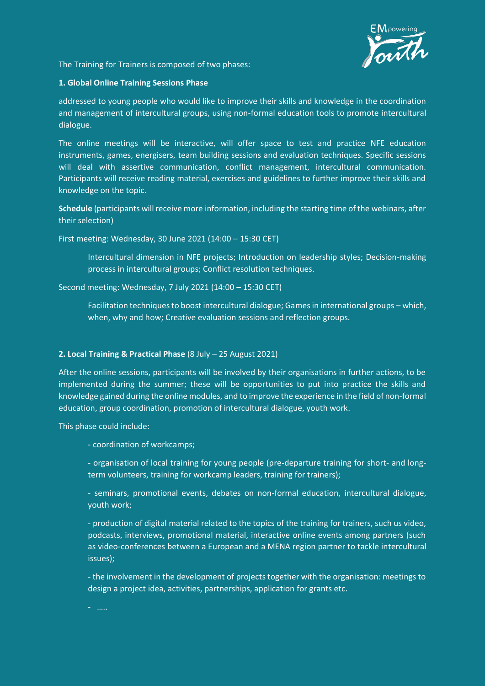

The Training for Trainers is composed of two phases:

#### **1. Global Online Training Sessions Phase**

addressed to young people who would like to improve their skills and knowledge in the coordination and management of intercultural groups, using non-formal education tools to promote intercultural dialogue.

The online meetings will be interactive, will offer space to test and practice NFE education instruments, games, energisers, team building sessions and evaluation techniques. Specific sessions will deal with assertive communication, conflict management, intercultural communication. Participants will receive reading material, exercises and guidelines to further improve their skills and knowledge on the topic.

**Schedule** (participants will receive more information, including the starting time of the webinars, after their selection)

First meeting: Wednesday, 30 June 2021 (14:00 – 15:30 CET)

Intercultural dimension in NFE projects; Introduction on leadership styles; Decision-making process in intercultural groups; Conflict resolution techniques.

Second meeting: Wednesday, 7 July 2021 (14:00 – 15:30 CET)

Facilitation techniques to boost intercultural dialogue; Games in international groups – which, when, why and how; Creative evaluation sessions and reflection groups.

## **2. Local Training & Practical Phase** (8 July – 25 August 2021)

After the online sessions, participants will be involved by their organisations in further actions, to be implemented during the summer; these will be opportunities to put into practice the skills and knowledge gained during the online modules, and to improve the experience in the field of non-formal education, group coordination, promotion of intercultural dialogue, youth work.

This phase could include:

- coordination of workcamps;

- organisation of local training for young people (pre-departure training for short- and longterm volunteers, training for workcamp leaders, training for trainers);

- seminars, promotional events, debates on non-formal education, intercultural dialogue, youth work;

- production of digital material related to the topics of the training for trainers, such us video, podcasts, interviews, promotional material, interactive online events among partners (such as video-conferences between a European and a MENA region partner to tackle intercultural issues);

- the involvement in the development of projects together with the organisation: meetings to design a project idea, activities, partnerships, application for grants etc.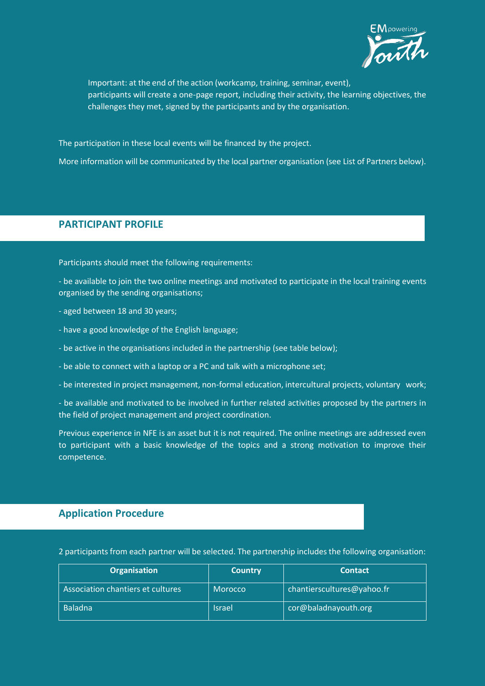

Important: at the end of the action (workcamp, training, seminar, event), participants will create a one-page report, including their activity, the learning objectives, the challenges they met, signed by the participants and by the organisation.

The participation in these local events will be financed by the project.

More information will be communicated by the local partner organisation (see List of Partners below).

## **PARTICIPANT PROFILE**

Participants should meet the following requirements:

- be available to join the two online meetings and motivated to participate in the local training events organised by the sending organisations;

- aged between 18 and 30 years;
- have a good knowledge of the English language;
- be active in the organisations included in the partnership (see table below);
- be able to connect with a laptop or a PC and talk with a microphone set;
- be interested in project management, non-formal education, intercultural projects, voluntary work;
- be available and motivated to be involved in further related activities proposed by the partners in the field of project management and project coordination.

Previous experience in NFE is an asset but it is not required. The online meetings are addressed even to participant with a basic knowledge of the topics and a strong motivation to improve their competence.

## **Application Procedure**

2 participants from each partner will be selected. The partnership includes the following organisation:

| <b>Organisation</b>               | <b>Country</b> | <b>Contact</b>             |
|-----------------------------------|----------------|----------------------------|
| Association chantiers et cultures | <b>Morocco</b> | chantierscultures@yahoo.fr |
| <b>Baladna</b>                    | <b>Israel</b>  | cor@baladnayouth.org       |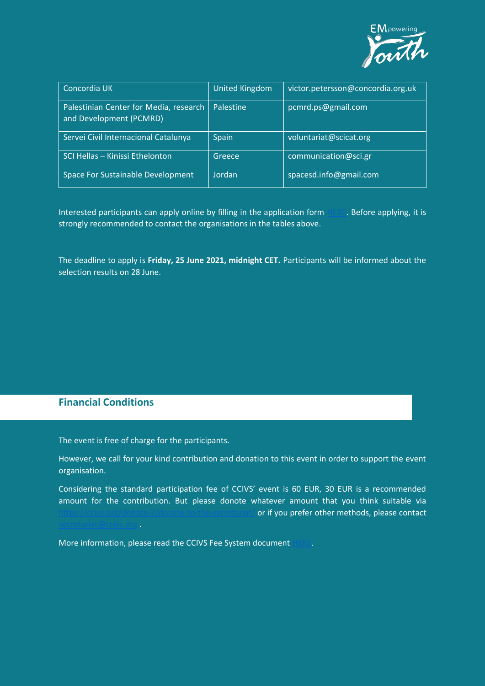

| Concordia UK                                                      | United Kingdom | victor.petersson@concordia.org.uk |
|-------------------------------------------------------------------|----------------|-----------------------------------|
| Palestinian Center for Media, research<br>and Development (PCMRD) | Palestine      | pcmrd.ps@gmail.com                |
| Servei Civil Internacional Catalunya                              | <b>Spain</b>   | voluntariat@scicat.org            |
| SCI Hellas - Kinissi Ethelonton                                   | Greece         | communication@sci.gr              |
| Space For Sustainable Development                                 | Jordan         | spacesd.info@gmail.com            |

Interested participants can apply online by filling in the application form [HERE.](https://docs.google.com/forms/d/e/1FAIpQLScNaa4tAwcSWTYdsNc-02cKssAoe3GvVZHah_jz0rfzocob0w/viewform) Before applying, it is strongly recommended to contact the organisations in the tables above.

The deadline to apply is **Friday, 25 June 2021, midnight CET.** Participants will be informed about the selection results on 28 June.

# **Financial Conditions**

The event is free of charge for the participants.

However, we call for your kind contribution and donation to this event in order to support the event organisation.

Considering the standard participation fee of CCIVS' event is 60 EUR, 30 EUR is a recommended amount for the contribution. But please donote whatever amount that you think suitable via Hto-the-secretariaty or if you prefer other methods, please contact

More information, please read the CCIVS Fee System documen[t HERE.](https://drive.google.com/file/d/1Sim_BqPCjOQrAweeRRVGsCM54uNv6pPX/view)